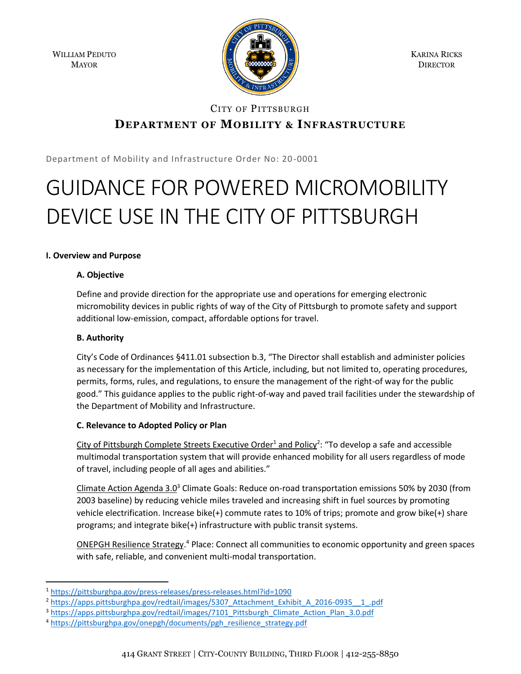WILLIAM PEDUTO MAYOR



KARINA RICKS **DIRECTOR** 

# CITY OF PITTSBURGH **DEPARTMENT OF MOBILITY & INFRASTRUCTURE**

Department of Mobility and Infrastructure Order No: 20 -0001

# GUIDANCE FOR POWERED MICROMOBILITY DEVICE USE IN THE CITY OF PITTSBURGH

## **I. Overview and Purpose**

# **A. Objective**

Define and provide direction for the appropriate use and operations for emerging electronic micromobility devices in public rights of way of the City of Pittsburgh to promote safety and support additional low-emission, compact, affordable options for travel.

# **B. Authority**

 $\overline{a}$ 

City's Code of Ordinances §411.01 subsection b.3, "The Director shall establish and administer policies as necessary for the implementation of this Article, including, but not limited to, operating procedures, permits, forms, rules, and regulations, to ensure the management of the right-of way for the public good." This guidance applies to the public right-of-way and paved trail facilities under the stewardship of the Department of Mobility and Infrastructure.

## **C. Relevance to Adopted Policy or Plan**

City of Pittsburgh Complete Streets Executive Order<sup>1</sup> and Policy<sup>2</sup>: "To develop a safe and accessible multimodal transportation system that will provide enhanced mobility for all users regardless of mode of travel, including people of all ages and abilities."

Climate Action Agenda 3.0<sup>3</sup> Climate Goals: Reduce on-road transportation emissions 50% by 2030 (from 2003 baseline) by reducing vehicle miles traveled and increasing shift in fuel sources by promoting vehicle electrification. Increase bike(+) commute rates to 10% of trips; promote and grow bike(+) share programs; and integrate bike(+) infrastructure with public transit systems.

ONEPGH Resilience Strategy.<sup>4</sup> Place: Connect all communities to economic opportunity and green spaces with safe, reliable, and convenient multi-modal transportation.

<sup>1</sup> <https://pittsburghpa.gov/press-releases/press-releases.html?id=1090>

<sup>2</sup> [https://apps.pittsburghpa.gov/redtail/images/5307\\_Attachment\\_Exhibit\\_A\\_2016-0935\\_\\_1\\_.pdf](https://apps.pittsburghpa.gov/redtail/images/5307_Attachment_Exhibit_A_2016-0935__1_.pdf)

<sup>3</sup> [https://apps.pittsburghpa.gov/redtail/images/7101\\_Pittsburgh\\_Climate\\_Action\\_Plan\\_3.0.pdf](https://apps.pittsburghpa.gov/redtail/images/7101_Pittsburgh_Climate_Action_Plan_3.0.pdf)

<sup>4</sup> [https://pittsburghpa.gov/onepgh/documents/pgh\\_resilience\\_strategy.pdf](https://pittsburghpa.gov/onepgh/documents/pgh_resilience_strategy.pdf)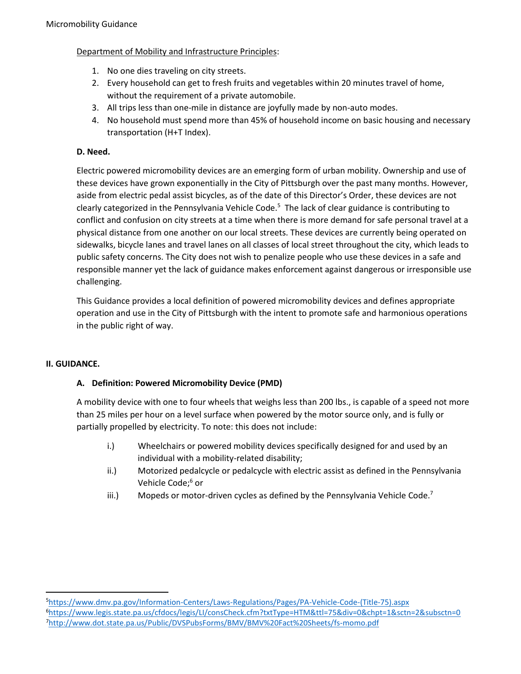#### Department of Mobility and Infrastructure Principles:

- 1. No one dies traveling on city streets.
- 2. Every household can get to fresh fruits and vegetables within 20 minutes travel of home, without the requirement of a private automobile.
- 3. All trips less than one-mile in distance are joyfully made by non-auto modes.
- 4. No household must spend more than 45% of household income on basic housing and necessary transportation (H+T Index).

#### **D. Need.**

Electric powered micromobility devices are an emerging form of urban mobility. Ownership and use of these devices have grown exponentially in the City of Pittsburgh over the past many months. However, aside from electric pedal assist bicycles, as of the date of this Director's Order, these devices are not clearly categorized in the Pennsylvania Vehicle Code.<sup>5</sup> The lack of clear guidance is contributing to conflict and confusion on city streets at a time when there is more demand for safe personal travel at a physical distance from one another on our local streets. These devices are currently being operated on sidewalks, bicycle lanes and travel lanes on all classes of local street throughout the city, which leads to public safety concerns. The City does not wish to penalize people who use these devices in a safe and responsible manner yet the lack of guidance makes enforcement against dangerous or irresponsible use challenging.

This Guidance provides a local definition of powered micromobility devices and defines appropriate operation and use in the City of Pittsburgh with the intent to promote safe and harmonious operations in the public right of way.

#### **II. GUIDANCE.**

 $\overline{\phantom{a}}$ 

#### **A. Definition: Powered Micromobility Device (PMD)**

A mobility device with one to four wheels that weighs less than 200 lbs., is capable of a speed not more than 25 miles per hour on a level surface when powered by the motor source only, and is fully or partially propelled by electricity. To note: this does not include:

- i.) Wheelchairs or powered mobility devices specifically designed for and used by an individual with a mobility-related disability;
- ii.) Motorized pedalcycle or pedalcycle with electric assist as defined in the Pennsylvania Vehicle Code;<sup>6</sup> or
- iii.) Mopeds or motor-driven cycles as defined by the Pennsylvania Vehicle Code.<sup>7</sup>

<sup>5</sup>[https://www.dmv.pa.gov/Information-Centers/Laws-Regulations/Pages/PA-Vehicle-Code-\(Title-75\).aspx](https://www.dmv.pa.gov/Information-Centers/Laws-Regulations/Pages/PA-Vehicle-Code-(Title-75).aspx) <sup>6</sup><https://www.legis.state.pa.us/cfdocs/legis/LI/consCheck.cfm?txtType=HTM&ttl=75&div=0&chpt=1&sctn=2&subsctn=0> 7<http://www.dot.state.pa.us/Public/DVSPubsForms/BMV/BMV%20Fact%20Sheets/fs-momo.pdf>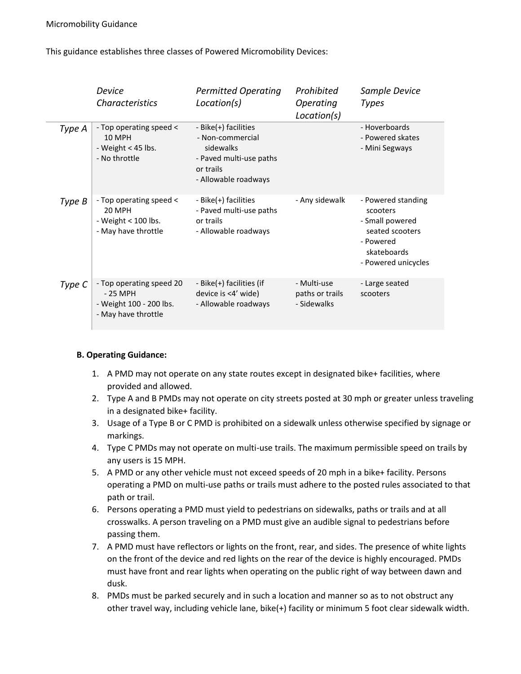#### Micromobility Guidance

This guidance establishes three classes of Powered Micromobility Devices:

|        | Device<br><b>Characteristics</b>                                                       | <b>Permitted Operating</b><br>Location(s)                                                                             | Prohibited<br>Operating<br>Location(s)        | Sample Device<br><b>Types</b>                                                                                           |
|--------|----------------------------------------------------------------------------------------|-----------------------------------------------------------------------------------------------------------------------|-----------------------------------------------|-------------------------------------------------------------------------------------------------------------------------|
| Type A | - Top operating speed <<br>10 MPH<br>- Weight $<$ 45 lbs.<br>- No throttle             | - Bike(+) facilities<br>- Non-commercial<br>sidewalks<br>- Paved multi-use paths<br>or trails<br>- Allowable roadways |                                               | - Hoverboards<br>- Powered skates<br>- Mini Segways                                                                     |
| Type B | - Top operating speed <<br>20 MPH<br>- Weight $<$ 100 lbs.<br>- May have throttle      | - Bike(+) facilities<br>- Paved multi-use paths<br>or trails<br>- Allowable roadways                                  | - Any sidewalk                                | - Powered standing<br>scooters<br>- Small powered<br>seated scooters<br>- Powered<br>skateboards<br>- Powered unicycles |
| Type C | - Top operating speed 20<br>- 25 MPH<br>- Weight 100 - 200 lbs.<br>- May have throttle | - Bike(+) facilities (if<br>device is <4' wide)<br>- Allowable roadways                                               | - Multi-use<br>paths or trails<br>- Sidewalks | - Large seated<br>scooters                                                                                              |

#### **B. Operating Guidance:**

- 1. A PMD may not operate on any state routes except in designated bike+ facilities, where provided and allowed.
- 2. Type A and B PMDs may not operate on city streets posted at 30 mph or greater unless traveling in a designated bike+ facility.
- 3. Usage of a Type B or C PMD is prohibited on a sidewalk unless otherwise specified by signage or markings.
- 4. Type C PMDs may not operate on multi-use trails. The maximum permissible speed on trails by any users is 15 MPH.
- 5. A PMD or any other vehicle must not exceed speeds of 20 mph in a bike+ facility. Persons operating a PMD on multi-use paths or trails must adhere to the posted rules associated to that path or trail.
- 6. Persons operating a PMD must yield to pedestrians on sidewalks, paths or trails and at all crosswalks. A person traveling on a PMD must give an audible signal to pedestrians before passing them.
- 7. A PMD must have reflectors or lights on the front, rear, and sides. The presence of white lights on the front of the device and red lights on the rear of the device is highly encouraged. PMDs must have front and rear lights when operating on the public right of way between dawn and dusk.
- 8. PMDs must be parked securely and in such a location and manner so as to not obstruct any other travel way, including vehicle lane, bike(+) facility or minimum 5 foot clear sidewalk width.